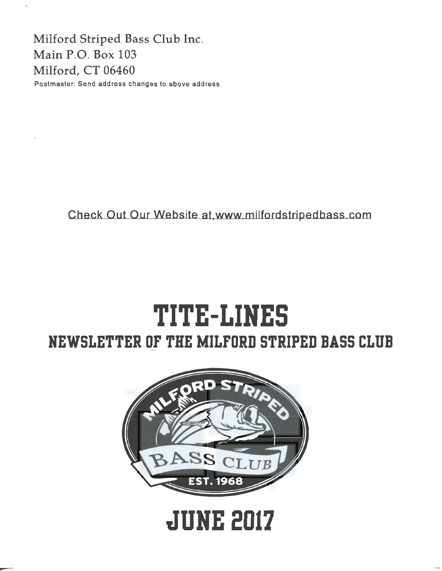Milford Striped Bass Club Inc. Main P.O. Box 103 Milford, CT 06460 Postmaster: Send address changes to above address.

# Check Out Our Website at,www milfordstripedbass com

# **TITE-LIHES**  NEWSLETTER OF THE MILFORD STRIPED BASS CLUB

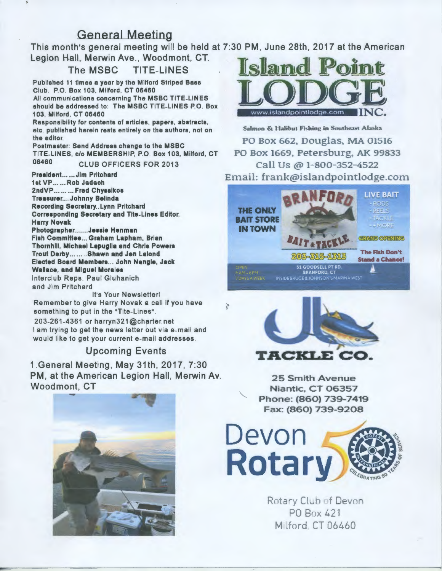# General Meeting

This month's general meeting will be held at 7:30 PM, June 28th, 2017 at the American

legion Hall, Merwin Ave., Woodmont, CT. The MSBC TITE-LINES Published 11 times a year by the Milford Striped Bass Club. P.O. Box 103, Milford, CT 06460 All communications concerning The MSBC TITE-LINES should be addressed to: The MSBC TITE-LINES P.O. Box 103, Milford, CT 06460 Responsibility for contents of articles, papers, abstracts, etc. published herein rests entirely on the authors, not on the editor. Postmaster: Send Address change to the MSBC TITE-LINES, c/o MEMBERSHIP, P.O. Box 103, Milford, CT 06460 CLUB OFFICERS FOR 2013 President... ... Jim Pritchard 1st VP ...... Rob Jadach 2ndVP......... Fred Chyssikos Treasurer....Johnny Belinda Recording Secretary..Lynn Pritchard Corresponding Secretary and Tite-Lines Editor, Harry Novak Photographer.......Jessie Henman Fish Committee ... Graham Lapham, Brian Thornhill, Michael Lapuglla and Chris Powers Trout Derby ... ... .. Shawn and Jen Lalond Elected Board Members ... John Nangle, Jack Wallace, and Miguel Morales Interclub Reps. Paul Gluhanich and Jim Pritchard

It's Your Newsletter! Remember to give Harry Novak a call if you have something to put in the "Tite-Lines".

203-261-4361 or harryn321 @charter net I am trying to get the news letter out via e-mail and would like to get your current e-mail addresses .

#### Upcoming Events

1.General Meeting, May 31th, 2017, 7:30 PM, at the American Legion Hall, Merwin Av. Woodmont, CT



Salmon & Halibut Fishing in Southeast Alaska PO Box 662, Douglas. MA 01516 PO Box 1669, Petersburg, AK 99833 Call Us @ 1-800-352-4522 Email: frank@islandpointlodge.com





25 Smith Avenue Niantic, CT 06357 Phone: (860) 739-7419 Fax: (860) 739-9208



Rotary Club of Devon PO Box 421 Milford CT 06460

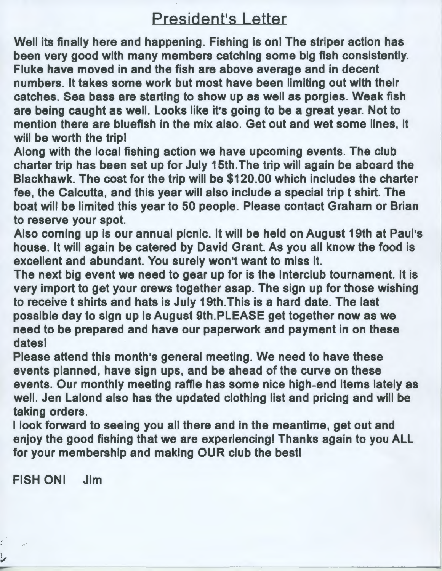# President's Letter

Well its finally here and happening. Fishing is on! The striper action has been very good with many members catching some big fish consistently. Fluke have moved in and the fish are above average and in decent numbers. It takes some work but most have been limiting out with their catches. Sea bass are starting to show up as well as porgies. Weak fish are being caught as well. Looks like it's going to be a great year. Not to mention there are bluefish in the mix also. Get out and wet some lines. it will be worth the trip!

Along with the local fishing action we have upcoming events. The club charter trip has been set up for July 15th. The trip will again be aboard the Blackhawk. The cost for the trip will be \$120.00 which includes the charter fee. the Calcutta. and this year will also include a special trip t shirt. The boat will be limited this year to 50 people. Please contact Graham or Brian to reserve your spot.

Also coming up is our annual picnic. It will be held on August 19th at Paul's house. It will again be catered by David Grant. As you all know the food is excellent and abundant. You surely won't want to miss it.

The next big event we need to gear up for is the lnterclub tournament. It is very import to get your crews together asap. The sign up for those wishing to receive t shirts and hats is July 19th. This is a hard date. The last possible day to sign up is August 9th.PLEASE get together now as we need to be prepared and have our paperwork and payment in on these dates

Please attend this month's general meeting. We need to have these events planned, have sign ups, and be ahead of the curve on these events. Our monthly meeting raffle has some nice high-end items lately as well. Jen Lalond also has the updated clothing list and pricing and will be taking orders.

I look forward to seeing you all there and in the meantime, get out and enjoy the good fishing that we are experiencing! Thanks again to you ALL for your membership and making OUR club the bestl

FISH ONI Jim

' ""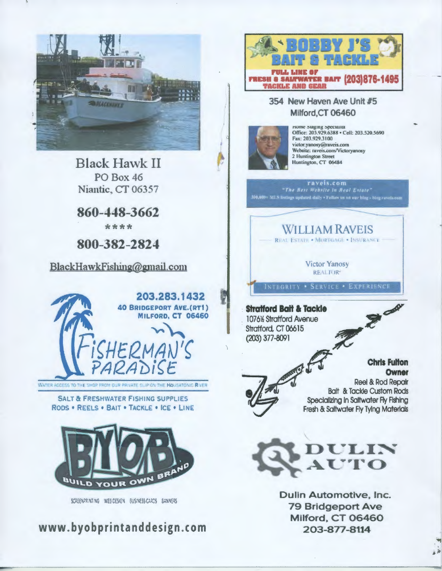

**Black Hawk II** PO Box 46 Niantic, CT 06357

860-448-3662

\*\*\*\*

800-382-2824

BlackHawkFishing@gmail.com



WATER ACCESS TO THE SHOP FROM OUR PRIVATE SLIP ON THE HOUSATOMO RIVER

**SALT & FRESHWATER FISHING SUPPLIES** RODS . REELS . BAIT . TACKLE . ICE . LINE



KREENWING WEBCESCH BUSINESS CARS BANGRS

www.byobprintanddesign.com



### 354 New Haven Ave Unit #5 Milford.CT 06460



nome suaging specialist<br>Office: 203.929.6388 • Cell: 203.520.5690 Fax: 203.929.3100 victor.yanosy@raveis.com Website: raveis.com/Victoryanosy 2 Huntington Street Huntington, CT 06484

## ravels.com<br>"The Best Website in Real Estate" 300,000+ MLS listings updated daily . Follow us an our blog - blog.raveis.co

WILLIAM RAVEIS **REAL ESTATE . MORTGAGE . INSURANCE** 

> **Victor Yanosy REALTOR\***

INTEGRITY . SERVICE . EXPERIENCE

**Stratford Bait & Tackle** 1076% Stratford Avenue Stratford, CT 06615  $(203)$  377-8091





**Balt & Tackle Custom Rods** Specializing in Saltwater Fly Fishing Fresh & Saltwater Fly Tying Materials



Dulin Automotive, Inc. **79 Bridgeport Ave** Milford, CT 06460 203-877-8114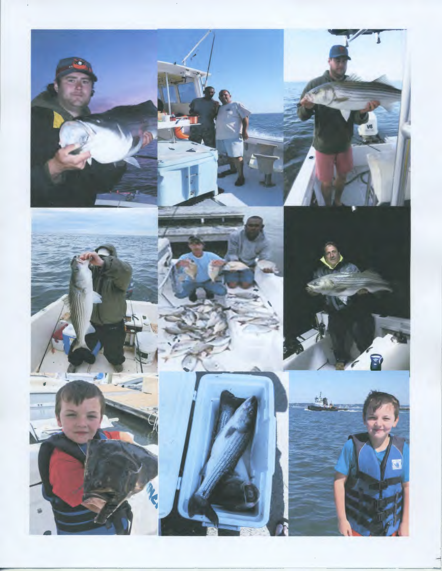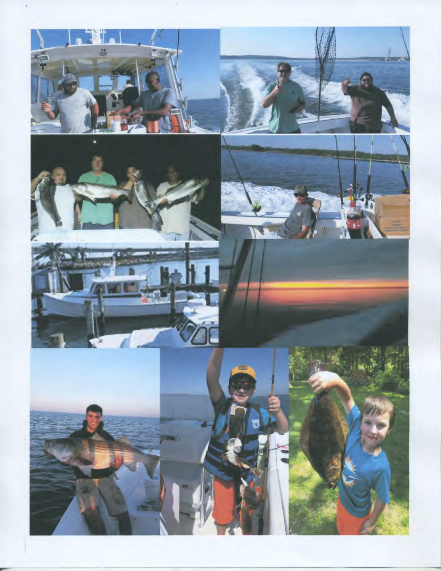